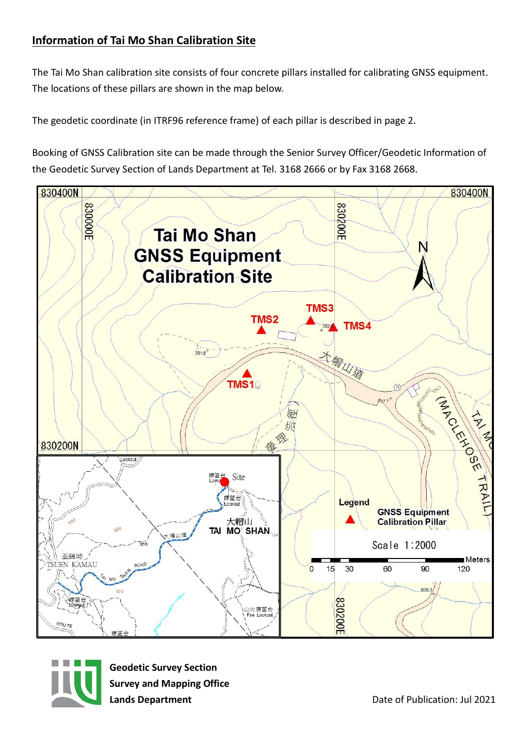## **Information of Tai Mo Shan Calibration Site**

The Tai Mo Shan calibration site consists of four concrete pillars installed for calibrating GNSS equipment. The locations of these pillars are shown in the map below.

The geodetic coordinate (in ITRF96 reference frame) of each pillar is described in page 2.

Booking of GNSS Calibration site can be made through the Senior Survey Officer/Geodetic Information of the Geodetic Survey Section of Lands Department at Tel. 3168 2666 or by Fax 3168 2668.





**Geodetic Survey Section Survey and Mapping Office**